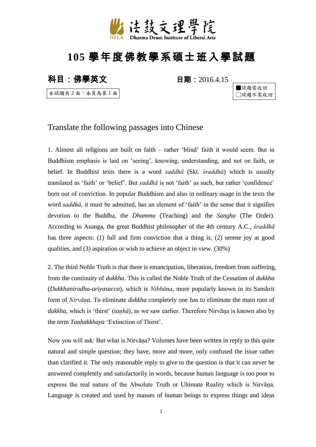

## **105** 學年度佛教學系碩士班入學試題

## 科目:佛學英文日期:2016.4.15

本試題共 2 面,本頁為第 1 面



## Translate the following passages into Chinese

1. Almost all religions are built on faith – rather 'blind' faith it would seem. But in Buddhism emphasis is laid on 'seeing', knowing, understanding, and not on faith, or belief. In Buddhist texts there is a word *saddhā* (Skt. *śraddhā*) which is usually translated as 'faith' or 'belief'. But *saddhā* is not 'faith' as such, but rather 'confidence' born out of conviction. In popular Buddhism and also in ordinary usage in the texts the word *saddhā*, it must be admitted, has an element of 'faith' in the sense that it signifies devotion to the Buddha, the *Dhamma* (Teaching) and the *Sangha* (The Order). According to Asanga, the great Buddhist philosopher of the 4th century A.C., *śraddhā* has three aspects: (1) full and firm conviction that a thing is, (2) serene joy at good qualities, and (3) aspiration or wish to achieve an object in view. (30%)

2. The third Noble Truth is that there is emancipation, liberation, freedom from suffering, from the continuity of *dukkha*. This is called the Noble Truth of the Cessation of *dukkha* (*Dukkhanirodha-ariyasacca*), which is *Nibbāna*, more popularly known in its Sanskrit form of *Nirvāṇa*. To eliminate *dukkha* completely one has to eliminate the main root of *dukkha*, which is 'thirst' (*taṇhā*), as we saw earlier. Therefore Nirvāṇa is known also by the term *Taṇhakkhaya* 'Extinction of Thirst'.

Now you will ask: But what is Nirvāṇa? Volumes have been written in reply to this quite natural and simple question; they have, more and more, only confused the issue rather than clarified it. The only reasonable reply to give to the question is that it can never be answered completely and satisfactorily in words, because human language is too poor to express the real nature of the Absolute Truth or Ultimate Reality which is Nirvāṇa. Language is created and used by masses of human beings to express things and ideas